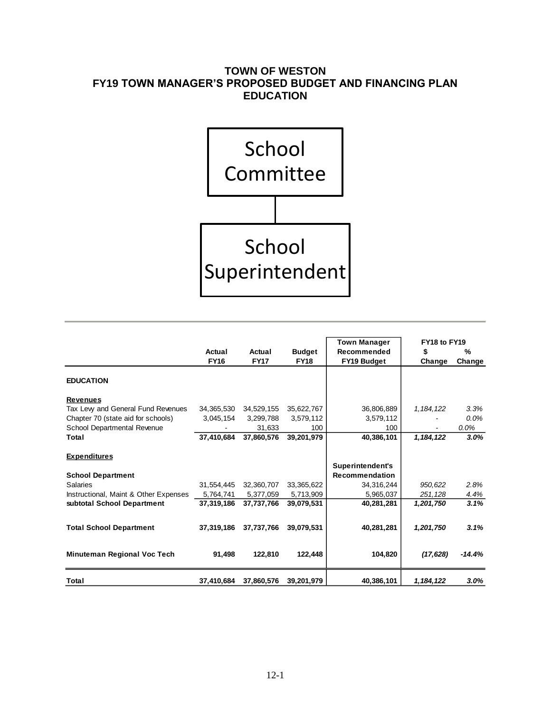# **TOWN OF WESTON FY19 TOWN MANAGER'S PROPOSED BUDGET AND FINANCING PLAN EDUCATION**



|                                       |             |             |               | <b>Town Manager</b>   | FY18 to FY19 |          |  |
|---------------------------------------|-------------|-------------|---------------|-----------------------|--------------|----------|--|
|                                       | Actual      | Actual      | <b>Budget</b> | Recommended           | \$           | %        |  |
|                                       | <b>FY16</b> | <b>FY17</b> | <b>FY18</b>   | FY19 Budget           | Change       | Change   |  |
| <b>EDUCATION</b>                      |             |             |               |                       |              |          |  |
| <b>Revenues</b>                       |             |             |               |                       |              |          |  |
| Tax Levy and General Fund Revenues    | 34,365,530  | 34,529,155  | 35,622,767    | 36,806,889            | 1, 184, 122  | 3.3%     |  |
| Chapter 70 (state aid for schools)    | 3,045,154   | 3,299,788   | 3,579,112     | 3,579,112             |              | $0.0\%$  |  |
| School Departmental Revenue           |             | 31,633      | 100           | 100                   |              | $0.0\%$  |  |
| Total                                 | 37.410.684  | 37,860,576  | 39,201,979    | 40,386,101            | 1, 184, 122  | 3.0%     |  |
| <b>Expenditures</b>                   |             |             |               |                       |              |          |  |
|                                       |             |             |               | Superintendent's      |              |          |  |
| <b>School Department</b>              |             |             |               | <b>Recommendation</b> |              |          |  |
| <b>Salaries</b>                       | 31,554,445  | 32,360,707  | 33,365,622    | 34,316,244            | 950,622      | 2.8%     |  |
| Instructional, Maint & Other Expenses | 5,764,741   | 5,377,059   | 5,713,909     | 5,965,037             | 251,128      | 4.4%     |  |
| subtotal School Department            | 37.319.186  | 37,737,766  | 39,079,531    | 40,281,281            | 1,201,750    | 3.1%     |  |
| <b>Total School Department</b>        | 37,319,186  | 37,737,766  | 39,079,531    | 40,281,281            | 1,201,750    | 3.1%     |  |
| Minuteman Regional Voc Tech           | 91,498      | 122.810     | 122,448       | 104,820               | (17, 628)    | $-14.4%$ |  |
| <b>Total</b>                          | 37,410,684  | 37,860,576  | 39,201,979    | 40,386,101            | 1, 184, 122  | $3.0\%$  |  |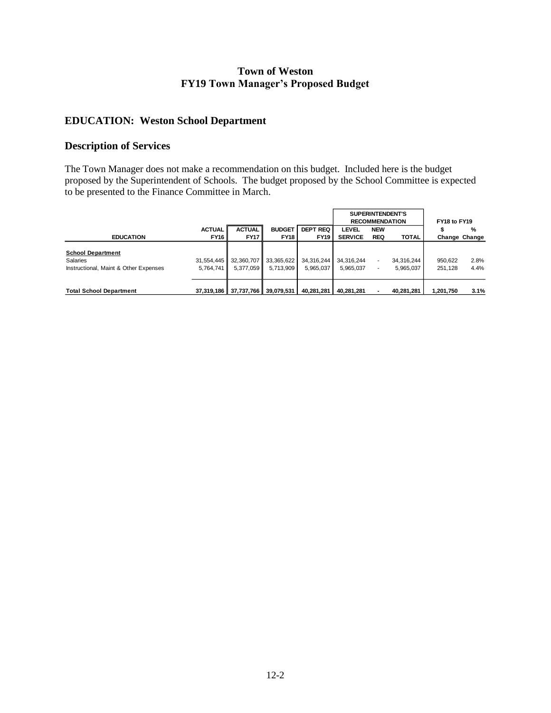#### **Town of Weston FY19 Town Manager's Proposed Budget**

## **EDUCATION: Weston School Department**

#### **Description of Services**

The Town Manager does not make a recommendation on this budget. Included here is the budget proposed by the Superintendent of Schools. The budget proposed by the School Committee is expected to be presented to the Finance Committee in March.

|                                                                               |                              |                                  |                                    |                                | <b>SUPERINTENDENT'S</b><br><b>RECOMMENDATION</b> |                          |                         | FY18 to FY19       |                    |
|-------------------------------------------------------------------------------|------------------------------|----------------------------------|------------------------------------|--------------------------------|--------------------------------------------------|--------------------------|-------------------------|--------------------|--------------------|
| <b>EDUCATION</b>                                                              | <b>ACTUAL</b><br><b>FY16</b> | <b>ACTUAL</b><br><b>FY17</b>     | <b>BUDGET</b><br><b>FY18</b>       | <b>DEPT REQ</b><br><b>FY19</b> | <b>LEVEL</b><br><b>SERVICE</b>                   | <b>NEW</b><br><b>REQ</b> | <b>TOTAL</b>            | æ                  | %<br>Change Change |
| <b>School Department</b><br>Salaries<br>Instructional, Maint & Other Expenses | 31.554.445<br>5.764.741      | 5.377.059                        | 32,360,707 33,365,622<br>5.713.909 | 34.316.244<br>5.965.037        | 34.316.244<br>5.965.037                          | ٠<br>۰                   | 34.316.244<br>5.965.037 | 950,622<br>251.128 | 2.8%<br>4.4%       |
| <b>Total School Department</b>                                                |                              | 37,319,186 37,737,766 39,079,531 |                                    | 40,281,281                     | 40.281.281                                       |                          | 40.281.281              | 1.201.750          | 3.1%               |